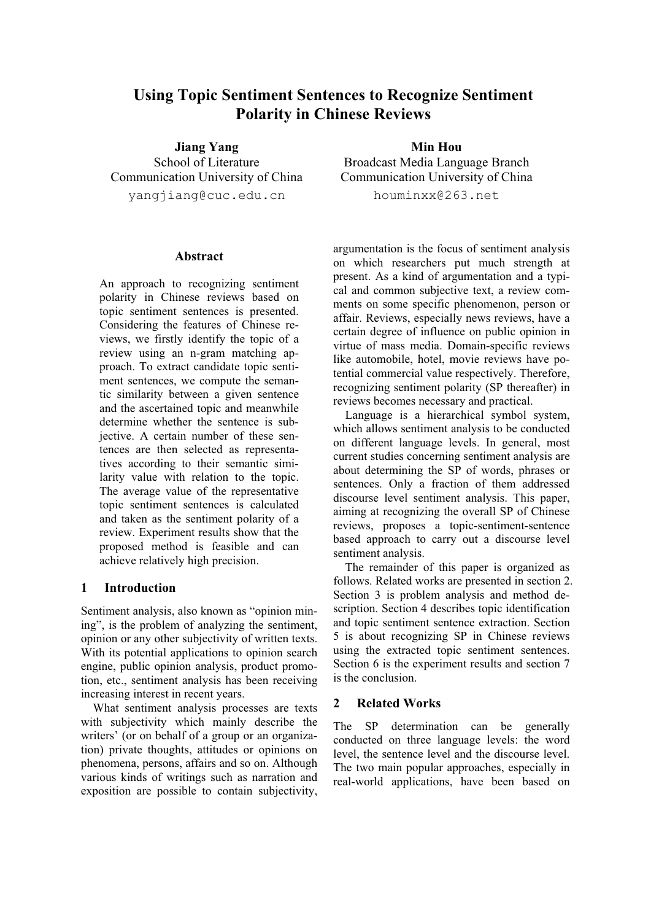# **Using Topic Sentiment Sentences to Recognize Sentiment Polarity in Chinese Reviews**

**Jiang Yang** School of Literature Communication University of China yangjiang@cuc.edu.cn

#### **Abstract**

An approach to recognizing sentiment polarity in Chinese reviews based on topic sentiment sentences is presented. Considering the features of Chinese reviews, we firstly identify the topic of a review using an n-gram matching approach. To extract candidate topic sentiment sentences, we compute the semantic similarity between a given sentence and the ascertained topic and meanwhile determine whether the sentence is subjective. A certain number of these sentences are then selected as representatives according to their semantic similarity value with relation to the topic. The average value of the representative topic sentiment sentences is calculated and taken as the sentiment polarity of a review. Experiment results show that the proposed method is feasible and can achieve relatively high precision.

### **1 Introduction**

Sentiment analysis, also known as "opinion mining", is the problem of analyzing the sentiment, opinion or any other subjectivity of written texts. With its potential applications to opinion search engine, public opinion analysis, product promotion, etc., sentiment analysis has been receiving increasing interest in recent years.

What sentiment analysis processes are texts with subjectivity which mainly describe the writers' (or on behalf of a group or an organization) private thoughts, attitudes or opinions on phenomena, persons, affairs and so on. Although various kinds of writings such as narration and exposition are possible to contain subjectivity,

**Min Hou** Broadcast Media Language Branch Communication University of China houminxx@263.net

argumentation is the focus of sentiment analysis on which researchers put much strength at present. As a kind of argumentation and a typical and common subjective text, a review comments on some specific phenomenon, person or affair. Reviews, especially news reviews, have a certain degree of influence on public opinion in virtue of mass media. Domain-specific reviews like automobile, hotel, movie reviews have potential commercial value respectively. Therefore, recognizing sentiment polarity (SP thereafter) in reviews becomes necessary and practical.

Language is a hierarchical symbol system, which allows sentiment analysis to be conducted on different language levels. In general, most current studies concerning sentiment analysis are about determining the SP of words, phrases or sentences. Only a fraction of them addressed discourse level sentiment analysis. This paper, aiming at recognizing the overall SP of Chinese reviews, proposes a topic-sentiment-sentence based approach to carry out a discourse level sentiment analysis.

The remainder of this paper is organized as follows. Related works are presented in section 2. Section 3 is problem analysis and method description. Section 4 describes topic identification and topic sentiment sentence extraction. Section 5 is about recognizing SP in Chinese reviews using the extracted topic sentiment sentences. Section 6 is the experiment results and section 7 is the conclusion.

### **2 Related Works**

The SP determination can be generally conducted on three language levels: the word level, the sentence level and the discourse level. The two main popular approaches, especially in real-world applications, have been based on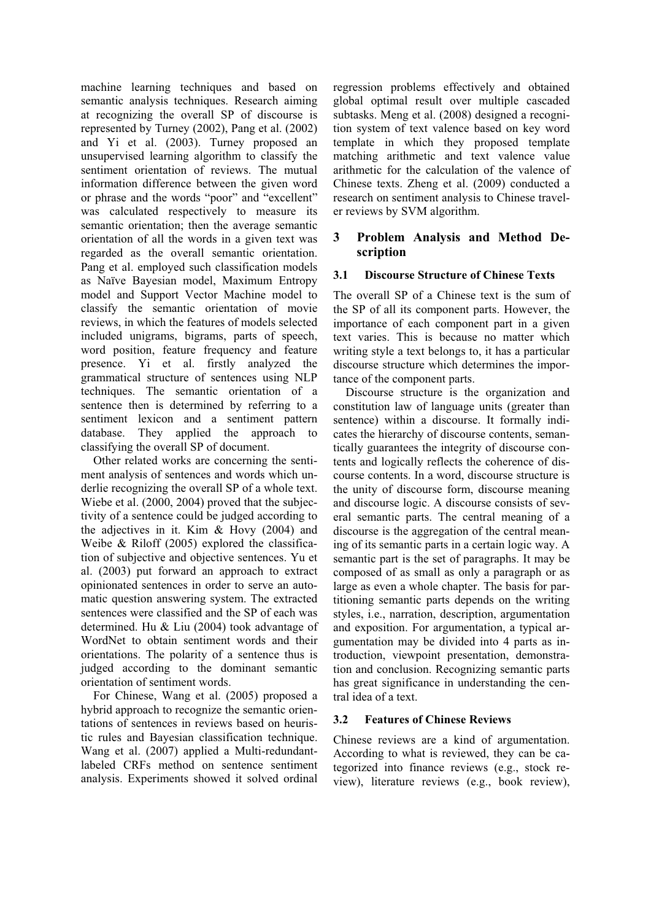machine learning techniques and based on semantic analysis techniques. Research aiming at recognizing the overall SP of discourse is represented by Turney (2002), Pang et al. (2002) and Yi et al. (2003). Turney proposed an unsupervised learning algorithm to classify the sentiment orientation of reviews. The mutual information difference between the given word or phrase and the words "poor" and "excellent" was calculated respectively to measure its semantic orientation; then the average semantic orientation of all the words in a given text was regarded as the overall semantic orientation. Pang et al. employed such classification models as Naïve Bayesian model, Maximum Entropy model and Support Vector Machine model to classify the semantic orientation of movie reviews, in which the features of models selected included unigrams, bigrams, parts of speech, word position, feature frequency and feature presence. Yi et al. firstly analyzed the grammatical structure of sentences using NLP techniques. The semantic orientation of a sentence then is determined by referring to a sentiment lexicon and a sentiment pattern database. They applied the approach to classifying the overall SP of document.

Other related works are concerning the sentiment analysis of sentences and words which underlie recognizing the overall SP of a whole text. Wiebe et al. (2000, 2004) proved that the subjectivity of a sentence could be judged according to the adjectives in it. Kim & Hovy (2004) and Weibe & Riloff (2005) explored the classification of subjective and objective sentences. Yu et al. (2003) put forward an approach to extract opinionated sentences in order to serve an automatic question answering system. The extracted sentences were classified and the SP of each was determined. Hu & Liu (2004) took advantage of WordNet to obtain sentiment words and their orientations. The polarity of a sentence thus is judged according to the dominant semantic orientation of sentiment words.

For Chinese, Wang et al. (2005) proposed a hybrid approach to recognize the semantic orientations of sentences in reviews based on heuristic rules and Bayesian classification technique. Wang et al. (2007) applied a Multi-redundantlabeled CRFs method on sentence sentiment analysis. Experiments showed it solved ordinal

regression problems effectively and obtained global optimal result over multiple cascaded subtasks. Meng et al. (2008) designed a recognition system of text valence based on key word template in which they proposed template matching arithmetic and text valence value arithmetic for the calculation of the valence of Chinese texts. Zheng et al. (2009) conducted a research on sentiment analysis to Chinese traveler reviews by SVM algorithm.

## **3 Problem Analysis and Method Description**

### **3.1 Discourse Structure of Chinese Texts**

The overall SP of a Chinese text is the sum of the SP of all its component parts. However, the importance of each component part in a given text varies. This is because no matter which writing style a text belongs to, it has a particular discourse structure which determines the importance of the component parts.

Discourse structure is the organization and constitution law of language units (greater than sentence) within a discourse. It formally indicates the hierarchy of discourse contents, semantically guarantees the integrity of discourse contents and logically reflects the coherence of discourse contents. In a word, discourse structure is the unity of discourse form, discourse meaning and discourse logic. A discourse consists of several semantic parts. The central meaning of a discourse is the aggregation of the central meaning of its semantic parts in a certain logic way. A semantic part is the set of paragraphs. It may be composed of as small as only a paragraph or as large as even a whole chapter. The basis for partitioning semantic parts depends on the writing styles, i.e., narration, description, argumentation and exposition. For argumentation, a typical argumentation may be divided into 4 parts as introduction, viewpoint presentation, demonstration and conclusion. Recognizing semantic parts has great significance in understanding the central idea of a text.

#### **3.2 Features of Chinese Reviews**

Chinese reviews are a kind of argumentation. According to what is reviewed, they can be categorized into finance reviews (e.g., stock review), literature reviews (e.g., book review),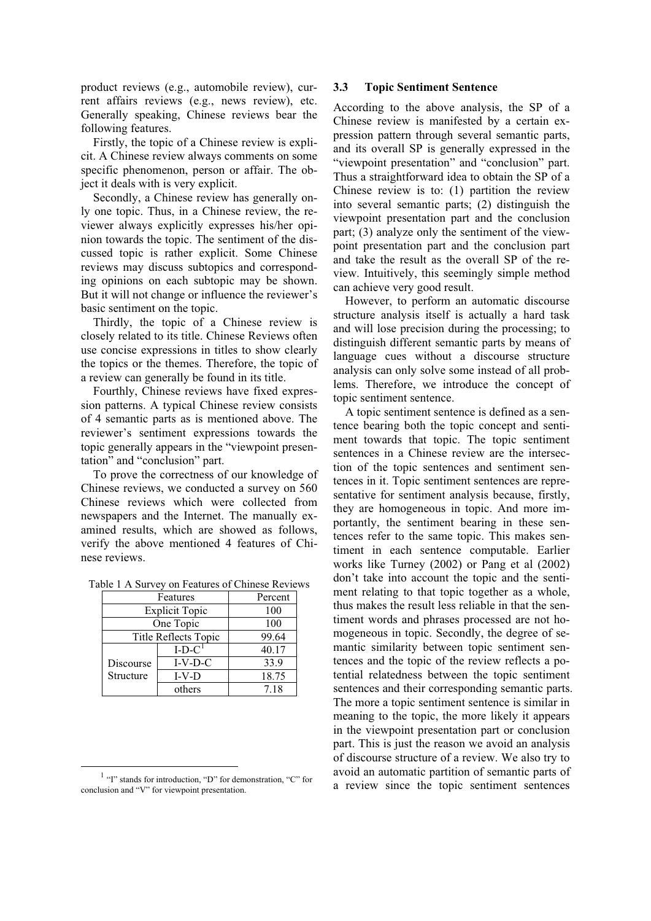product reviews (e.g., automobile review), current affairs reviews (e.g., news review), etc. Generally speaking, Chinese reviews bear the following features.

Firstly, the topic of a Chinese review is explicit. A Chinese review always comments on some specific phenomenon, person or affair. The object it deals with is very explicit.

Secondly, a Chinese review has generally only one topic. Thus, in a Chinese review, the reviewer always explicitly expresses his/her opinion towards the topic. The sentiment of the discussed topic is rather explicit. Some Chinese reviews may discuss subtopics and corresponding opinions on each subtopic may be shown. But it will not change or influence the reviewer's basic sentiment on the topic.

Thirdly, the topic of a Chinese review is closely related to its title. Chinese Reviews often use concise expressions in titles to show clearly the topics or the themes. Therefore, the topic of a review can generally be found in its title.

Fourthly, Chinese reviews have fixed expression patterns. A typical Chinese review consists of 4 semantic parts as is mentioned above. The reviewer's sentiment expressions towards the topic generally appears in the "viewpoint presentation" and "conclusion" part.

To prove the correctness of our knowledge of Chinese reviews, we conducted a survey on 560 Chinese reviews which were collected from newspapers and the Internet. The manually examined results, which are showed as follows, verify the above mentioned 4 features of Chinese reviews.

|  |  |  | Table 1 A Survey on Features of Chinese Reviews |  |  |
|--|--|--|-------------------------------------------------|--|--|
|--|--|--|-------------------------------------------------|--|--|

| Features              | Percent   |       |  |  |
|-----------------------|-----------|-------|--|--|
| <b>Explicit Topic</b> | 100       |       |  |  |
| One Topic             | 100       |       |  |  |
| Title Reflects Topic  | 99.64     |       |  |  |
|                       | $I-D-C1$  | 40.17 |  |  |
| Discourse             | $I-V-D-C$ | 33.9  |  |  |
| Structure             | $I-V-D$   | 18.75 |  |  |
|                       | others    | 7.18  |  |  |

#### **3.3 Topic Sentiment Sentence**

According to the above analysis, the SP of a Chinese review is manifested by a certain expression pattern through several semantic parts, and its overall SP is generally expressed in the "viewpoint presentation" and "conclusion" part. Thus a straightforward idea to obtain the SP of a Chinese review is to: (1) partition the review into several semantic parts; (2) distinguish the viewpoint presentation part and the conclusion part; (3) analyze only the sentiment of the viewpoint presentation part and the conclusion part and take the result as the overall SP of the review. Intuitively, this seemingly simple method can achieve very good result.

However, to perform an automatic discourse structure analysis itself is actually a hard task and will lose precision during the processing; to distinguish different semantic parts by means of language cues without a discourse structure analysis can only solve some instead of all problems. Therefore, we introduce the concept of topic sentiment sentence.

A topic sentiment sentence is defined as a sentence bearing both the topic concept and sentiment towards that topic. The topic sentiment sentences in a Chinese review are the intersection of the topic sentences and sentiment sentences in it. Topic sentiment sentences are representative for sentiment analysis because, firstly, they are homogeneous in topic. And more importantly, the sentiment bearing in these sentences refer to the same topic. This makes sentiment in each sentence computable. Earlier works like Turney (2002) or Pang et al (2002) don't take into account the topic and the sentiment relating to that topic together as a whole, thus makes the result less reliable in that the sentiment words and phrases processed are not homogeneous in topic. Secondly, the degree of semantic similarity between topic sentiment sentences and the topic of the review reflects a potential relatedness between the topic sentiment sentences and their corresponding semantic parts. The more a topic sentiment sentence is similar in meaning to the topic, the more likely it appears in the viewpoint presentation part or conclusion part. This is just the reason we avoid an analysis of discourse structure of a review. We also try to avoid an automatic partition of semantic parts of a review since the topic sentiment sentences

<sup>&</sup>lt;sup>1</sup> "I" stands for introduction, "D" for demonstration, "C" for conclusion and "V" for viewpoint presentation.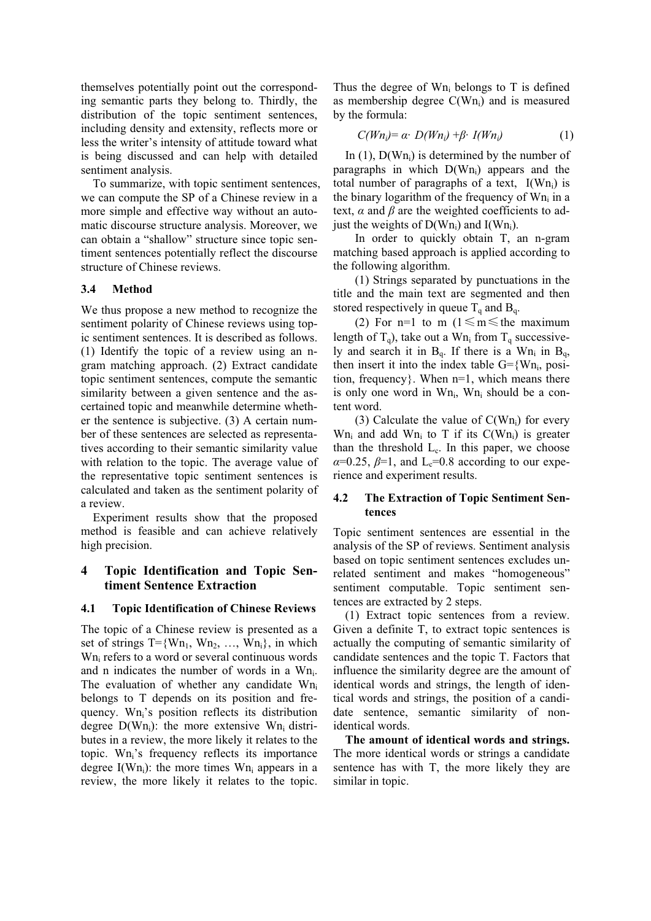themselves potentially point out the corresponding semantic parts they belong to. Thirdly, the distribution of the topic sentiment sentences, including density and extensity, reflects more or less the writer's intensity of attitude toward what is being discussed and can help with detailed sentiment analysis.

To summarize, with topic sentiment sentences, we can compute the SP of a Chinese review in a more simple and effective way without an automatic discourse structure analysis. Moreover, we can obtain a "shallow" structure since topic sentiment sentences potentially reflect the discourse structure of Chinese reviews.

### **3.4 Method**

We thus propose a new method to recognize the sentiment polarity of Chinese reviews using topic sentiment sentences. It is described as follows. (1) Identify the topic of a review using an ngram matching approach. (2) Extract candidate topic sentiment sentences, compute the semantic similarity between a given sentence and the ascertained topic and meanwhile determine whether the sentence is subjective. (3) A certain number of these sentences are selected as representatives according to their semantic similarity value with relation to the topic. The average value of the representative topic sentiment sentences is calculated and taken as the sentiment polarity of a review.

Experiment results show that the proposed method is feasible and can achieve relatively high precision.

### **4 Topic Identification and Topic Sentiment Sentence Extraction**

#### **4.1 Topic Identification of Chinese Reviews**

The topic of a Chinese review is presented as a set of strings  $T=\{Wn_1, Wn_2, \ldots, Wn_i\}$ , in which W<sub>n<sub>i</sub> refers to a word or several continuous words</sub> and n indicates the number of words in a  $Wn_i$ . The evaluation of whether any candidate Wn belongs to T depends on its position and frequency. Wn<sub>i</sub>'s position reflects its distribution degree  $D(Wn_i)$ : the more extensive Wn<sub>i</sub> distributes in a review, the more likely it relates to the topic. Wn<sub>i</sub>'s frequency reflects its importance degree  $I(Wn_i)$ : the more times  $Wn_i$  appears in a review, the more likely it relates to the topic. Thus the degree of  $Wn_i$  belongs to T is defined as membership degree  $C(Wn_i)$  and is measured by the formula:

$$
C(Wn_i) = \alpha \cdot D(Wn_i) + \beta \cdot I(Wn_i)
$$
 (1)

In  $(1)$ ,  $D(Wn_i)$  is determined by the number of paragraphs in which  $D(Wn_i)$  appears and the total number of paragraphs of a text,  $I(Wh_i)$  is the binary logarithm of the frequency of  $Wn_i$  in a text,  $\alpha$  and  $\beta$  are the weighted coefficients to adjust the weights of  $D(Wn_i)$  and  $I(Wn_i)$ .

In order to quickly obtain T, an n-gram matching based approach is applied according to the following algorithm.

(1) Strings separated by punctuations in the title and the main text are segmented and then stored respectively in queue  $T_q$  and  $B_q$ .

(2) For n=1 to m ( $1 \le m \le$  the maximum length of  $T_q$ ), take out a Wn<sub>i</sub> from  $T_q$  successively and search it in  $B_q$ . If there is a Wn<sub>i</sub> in  $B_q$ , then insert it into the index table  $G = \{Wn_i, \text{posi-}$ tion, frequency}. When n=1, which means there is only one word in  $Wn_i$ ,  $Wn_i$  should be a content word.

(3) Calculate the value of  $C(Wn_i)$  for every  $Wn_i$  and add  $Wn_i$  to T if its  $C(Wn_i)$  is greater than the threshold  $L_c$ . In this paper, we choose  $\alpha$ =0.25,  $\beta$ =1, and L<sub>c</sub>=0.8 according to our experience and experiment results.

### **4.2 The Extraction of Topic Sentiment Sentences**

Topic sentiment sentences are essential in the analysis of the SP of reviews. Sentiment analysis based on topic sentiment sentences excludes unrelated sentiment and makes "homogeneous" sentiment computable. Topic sentiment sentences are extracted by 2 steps.

(1) Extract topic sentences from a review. Given a definite T, to extract topic sentences is actually the computing of semantic similarity of candidate sentences and the topic T. Factors that influence the similarity degree are the amount of identical words and strings, the length of identical words and strings, the position of a candidate sentence, semantic similarity of nonidentical words.

**The amount of identical words and strings.** The more identical words or strings a candidate sentence has with T, the more likely they are similar in topic.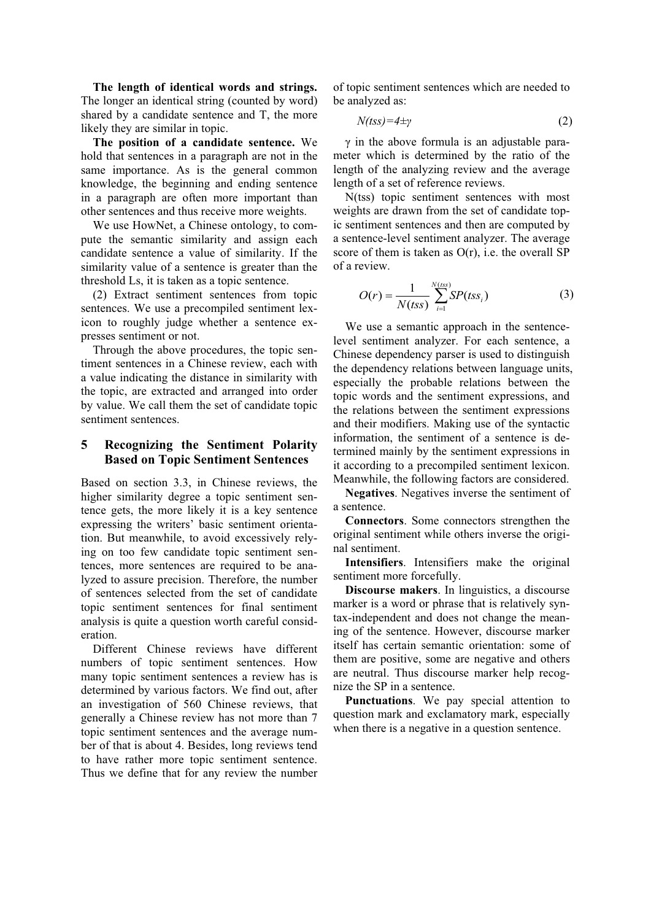**The length of identical words and strings.** The longer an identical string (counted by word) shared by a candidate sentence and T, the more likely they are similar in topic.

**The position of a candidate sentence.** We hold that sentences in a paragraph are not in the same importance. As is the general common knowledge, the beginning and ending sentence in a paragraph are often more important than other sentences and thus receive more weights.

We use HowNet, a Chinese ontology, to compute the semantic similarity and assign each candidate sentence a value of similarity. If the similarity value of a sentence is greater than the threshold Ls, it is taken as a topic sentence.

(2) Extract sentiment sentences from topic sentences. We use a precompiled sentiment lexicon to roughly judge whether a sentence expresses sentiment or not.

Through the above procedures, the topic sentiment sentences in a Chinese review, each with a value indicating the distance in similarity with the topic, are extracted and arranged into order by value. We call them the set of candidate topic sentiment sentences.

### **5 Recognizing the Sentiment Polarity Based on Topic Sentiment Sentences**

Based on section 3.3, in Chinese reviews, the higher similarity degree a topic sentiment sentence gets, the more likely it is a key sentence expressing the writers' basic sentiment orientation. But meanwhile, to avoid excessively relying on too few candidate topic sentiment sentences, more sentences are required to be analyzed to assure precision. Therefore, the number of sentences selected from the set of candidate topic sentiment sentences for final sentiment analysis is quite a question worth careful consideration.

Different Chinese reviews have different numbers of topic sentiment sentences. How many topic sentiment sentences a review has is determined by various factors. We find out, after an investigation of 560 Chinese reviews, that generally a Chinese review has not more than 7 topic sentiment sentences and the average number of that is about 4. Besides, long reviews tend to have rather more topic sentiment sentence. Thus we define that for any review the number

of topic sentiment sentences which are needed to be analyzed as:

$$
N(tss) = 4 \pm \gamma \tag{2}
$$

 $\gamma$  in the above formula is an adiustable parameter which is determined by the ratio of the length of the analyzing review and the average length of a set of reference reviews.

N(tss) topic sentiment sentences with most weights are drawn from the set of candidate topic sentiment sentences and then are computed by a sentence-level sentiment analyzer. The average score of them is taken as  $O(r)$ , i.e. the overall SP of a review.

$$
O(r) = \frac{1}{N(tss)} \sum_{i=1}^{N(tss)} SP(tss_i)
$$
 (3)

We use a semantic approach in the sentencelevel sentiment analyzer. For each sentence, a Chinese dependency parser is used to distinguish the dependency relations between language units, especially the probable relations between the topic words and the sentiment expressions, and the relations between the sentiment expressions and their modifiers. Making use of the syntactic information, the sentiment of a sentence is determined mainly by the sentiment expressions in it according to a precompiled sentiment lexicon. Meanwhile, the following factors are considered.

**Negatives**. Negatives inverse the sentiment of a sentence.

**Connectors**. Some connectors strengthen the original sentiment while others inverse the original sentiment.

**Intensifiers**. Intensifiers make the original sentiment more forcefully.

**Discourse makers**. In linguistics, a discourse marker is a word or phrase that is relatively syntax-independent and does not change the meaning of the sentence. However, discourse marker itself has certain semantic orientation: some of them are positive, some are negative and others are neutral. Thus discourse marker help recognize the SP in a sentence.

**Punctuations**. We pay special attention to question mark and exclamatory mark, especially when there is a negative in a question sentence.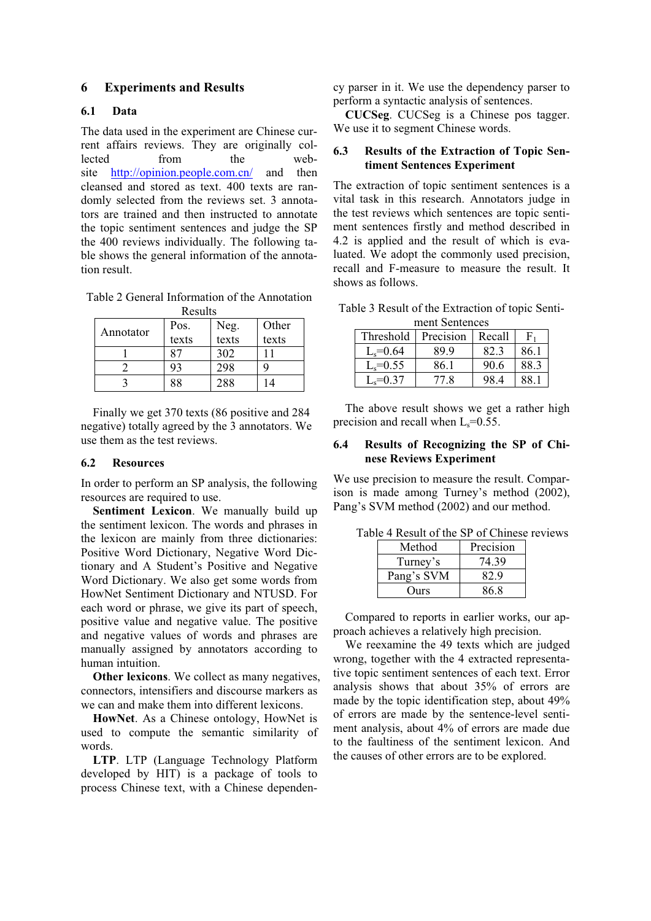### **6 Experiments and Results**

### **6.1 Data**

The data used in the experiment are Chinese current affairs reviews. They are originally collected from the website http://opinion.people.com.cn/ and then cleansed and stored as text. 400 texts are randomly selected from the reviews set. 3 annotators are trained and then instructed to annotate the topic sentiment sentences and judge the SP the 400 reviews individually. The following table shows the general information of the annotation result.

Table 2 General Information of the Annotation

| Results   |       |               |       |  |
|-----------|-------|---------------|-------|--|
| Annotator | Pos.  | Neg.<br>texts | Other |  |
|           | texts |               | texts |  |
|           |       | 302           |       |  |
|           | 93    | 298           |       |  |
|           | 88    | 288           | ۱4    |  |

Finally we get 370 texts (86 positive and 284 negative) totally agreed by the 3 annotators. We use them as the test reviews.

#### **6.2 Resources**

In order to perform an SP analysis, the following resources are required to use.

**Sentiment Lexicon**. We manually build up the sentiment lexicon. The words and phrases in the lexicon are mainly from three dictionaries: Positive Word Dictionary, Negative Word Dictionary and A Student's Positive and Negative Word Dictionary. We also get some words from HowNet Sentiment Dictionary and NTUSD. For each word or phrase, we give its part of speech, positive value and negative value. The positive and negative values of words and phrases are manually assigned by annotators according to human intuition.

**Other lexicons.** We collect as many negatives, connectors, intensifiers and discourse markers as we can and make them into different lexicons.

**HowNet**. As a Chinese ontology, HowNet is used to compute the semantic similarity of words.

**LTP**. LTP (Language Technology Platform developed by HIT) is a package of tools to process Chinese text, with a Chinese dependency parser in it. We use the dependency parser to perform a syntactic analysis of sentences.

**CUCSeg**. CUCSeg is a Chinese pos tagger. We use it to segment Chinese words.

#### **6.3 Results of the Extraction of Topic Sentiment Sentences Experiment**

The extraction of topic sentiment sentences is a vital task in this research. Annotators judge in the test reviews which sentences are topic sentiment sentences firstly and method described in 4.2 is applied and the result of which is evaluated. We adopt the commonly used precision, recall and F-measure to measure the result. It shows as follows.

Table 3 Result of the Extraction of topic Sentiment Sentences

| Threshold    | Precision | Recall |      |
|--------------|-----------|--------|------|
| $L_s = 0.64$ | 89 9      | 82.3   | 86.1 |
| $L_s = 0.55$ | 86.1      | 90.6   | 88.3 |
| $L_s = 0.37$ | 77 R      | 98 4   | 88 1 |

The above result shows we get a rather high precision and recall when  $L_s = 0.55$ .

#### **6.4 Results of Recognizing the SP of Chinese Reviews Experiment**

We use precision to measure the result. Comparison is made among Turney's method (2002), Pang's SVM method (2002) and our method.

|  |  |  |  | Table 4 Result of the SP of Chinese reviews |
|--|--|--|--|---------------------------------------------|
|  |  |  |  |                                             |

| Method     | Precision |
|------------|-----------|
| Turney's   | 74.39     |
| Pang's SVM | 82.9      |
| Ours       | 86.8      |

Compared to reports in earlier works, our approach achieves a relatively high precision.

We reexamine the 49 texts which are judged wrong, together with the 4 extracted representative topic sentiment sentences of each text. Error analysis shows that about 35% of errors are made by the topic identification step, about 49% of errors are made by the sentence-level sentiment analysis, about 4% of errors are made due to the faultiness of the sentiment lexicon. And the causes of other errors are to be explored.